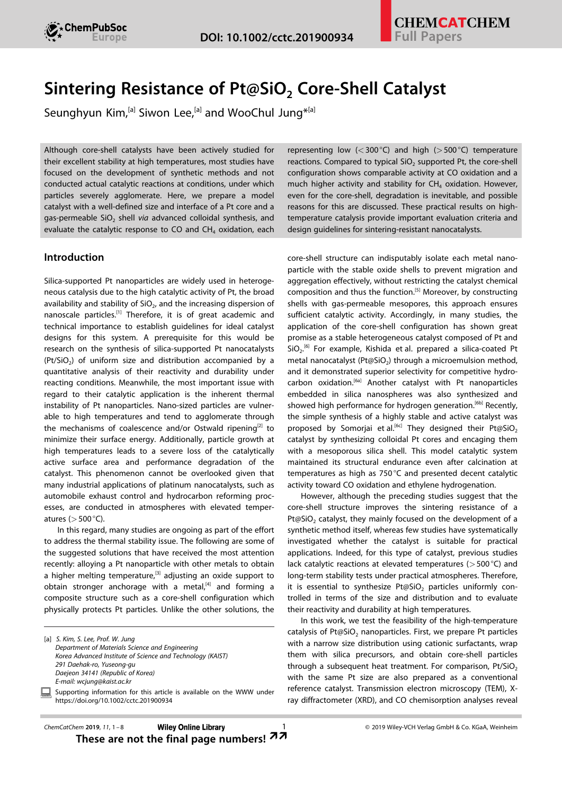

# **Sintering Resistance of Pt@SiO2 Core-Shell Catalyst**

Seunghyun Kim,  $[ab]$  Siwon Lee, $[ab]$  and [WooChul](http://orcid.org/0000-0001-5266-3795) Jung<sup>\* $[ab]$ </sup>

Although core-shell catalysts have been actively studied for their excellent stability at high temperatures, most studies have focused on the development of synthetic methods and not conducted actual catalytic reactions at conditions, under which particles severely agglomerate. Here, we prepare a model catalyst with a well-defined size and interface of a Pt core and a gas-permeable SiO<sub>2</sub> shell *via* advanced colloidal synthesis, and evaluate the catalytic response to CO and  $CH<sub>4</sub>$  oxidation, each

### **Introduction**

Silica-supported Pt nanoparticles are widely used in heterogeneous catalysis due to the high catalytic activity of Pt, the broad availability and stability of  $SiO<sub>2</sub>$ , and the increasing dispersion of nanoscale particles.<sup>[1]</sup> Therefore, it is of great academic and technical importance to establish guidelines for ideal catalyst designs for this system. A prerequisite for this would be research on the synthesis of silica-supported Pt nanocatalysts  $(Pt/SIO<sub>2</sub>)$  of uniform size and distribution accompanied by a quantitative analysis of their reactivity and durability under reacting conditions. Meanwhile, the most important issue with regard to their catalytic application is the inherent thermal instability of Pt nanoparticles. Nano-sized particles are vulnerable to high temperatures and tend to agglomerate through the mechanisms of coalescence and/or Ostwald ripening<sup>[2]</sup> to minimize their surface energy. Additionally, particle growth at high temperatures leads to a severe loss of the catalytically active surface area and performance degradation of the catalyst. This phenomenon cannot be overlooked given that many industrial applications of platinum nanocatalysts, such as automobile exhaust control and hydrocarbon reforming processes, are conducted in atmospheres with elevated temperatures (*>*500°C).

In this regard, many studies are ongoing as part of the effort to address the thermal stability issue. The following are some of the suggested solutions that have received the most attention recently: alloying a Pt nanoparticle with other metals to obtain a higher melting temperature, $[3]$  adjusting an oxide support to obtain stronger anchorage with a metal, $[4]$  and forming a composite structure such as a core-shell configuration which physically protects Pt particles. Unlike the other solutions, the

| [a] S. Kim, S. Lee, Prof. W. Jung                              |
|----------------------------------------------------------------|
| Department of Materials Science and Engineering                |
| Korea Advanced Institute of Science and Technology (KAIST)     |
| 291 Daehak-ro, Yuseong-gu                                      |
| Daejeon 34141 (Republic of Korea)                              |
| E-mail: wcjung@kaist.ac.kr                                     |
| Supporting information for this article is available on the WW |

Supporting information for this article is available on the WWW under <https://doi.org/10.1002/cctc.201900934>

representing low (*<*300°C) and high (*>*500°C) temperature reactions. Compared to typical  $SiO<sub>2</sub>$  supported Pt, the core-shell configuration shows comparable activity at CO oxidation and a much higher activity and stability for  $CH<sub>4</sub>$  oxidation. However, even for the core-shell, degradation is inevitable, and possible reasons for this are discussed. These practical results on hightemperature catalysis provide important evaluation criteria and design guidelines for sintering-resistant nanocatalysts.

core-shell structure can indisputably isolate each metal nanoparticle with the stable oxide shells to prevent migration and aggregation effectively, without restricting the catalyst chemical composition and thus the function.[5] Moreover, by constructing shells with gas-permeable mesopores, this approach ensures sufficient catalytic activity. Accordingly, in many studies, the application of the core-shell configuration has shown great promise as a stable heterogeneous catalyst composed of Pt and  $SiO<sub>2</sub>$ <sup>[6]</sup> For example, Kishida et al. prepared a silica-coated Pt metal nanocatalyst (Pt@SiO<sub>2</sub>) through a microemulsion method, and it demonstrated superior selectivity for competitive hydrocarbon oxidation.[6a] Another catalyst with Pt nanoparticles embedded in silica nanospheres was also synthesized and showed high performance for hydrogen generation.<sup>[6b]</sup> Recently, the simple synthesis of a highly stable and active catalyst was proposed by Somorjai et al.<sup>[6c]</sup> They designed their Pt@SiO<sub>2</sub> catalyst by synthesizing colloidal Pt cores and encaging them with a mesoporous silica shell. This model catalytic system maintained its structural endurance even after calcination at temperatures as high as 750°C and presented decent catalytic activity toward CO oxidation and ethylene hydrogenation.

However, although the preceding studies suggest that the core-shell structure improves the sintering resistance of a Pt@SiO<sub>2</sub> catalyst, they mainly focused on the development of a synthetic method itself, whereas few studies have systematically investigated whether the catalyst is suitable for practical applications. Indeed, for this type of catalyst, previous studies lack catalytic reactions at elevated temperatures (*>*500°C) and long-term stability tests under practical atmospheres. Therefore, it is essential to synthesize  $Pt@SiO<sub>2</sub>$  particles uniformly controlled in terms of the size and distribution and to evaluate their reactivity and durability at high temperatures.

In this work, we test the feasibility of the high-temperature catalysis of Pt@SiO<sub>2</sub> nanoparticles. First, we prepare Pt particles with a narrow size distribution using cationic surfactants, wrap them with silica precursors, and obtain core-shell particles through a subsequent heat treatment. For comparison,  $Pt/SiO<sub>2</sub>$ with the same Pt size are also prepared as a conventional reference catalyst. Transmission electron microscopy (TEM), Xray diffractometer (XRD), and CO chemisorption analyses reveal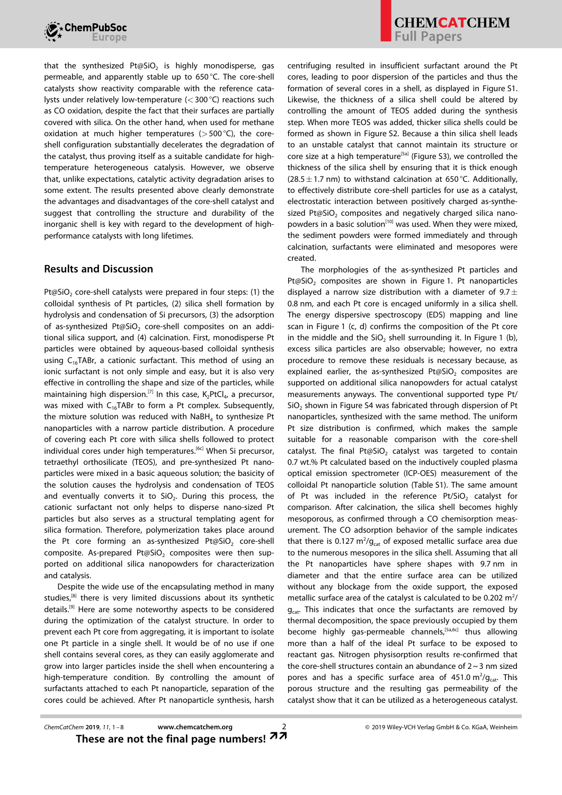

that the synthesized Pt@SiO<sub>2</sub> is highly monodisperse, gas permeable, and apparently stable up to 650 °C. The core-shell catalysts show reactivity comparable with the reference catalysts under relatively low-temperature (*<*300 °C) reactions such as CO oxidation, despite the fact that their surfaces are partially covered with silica. On the other hand, when used for methane oxidation at much higher temperatures (*>*500°C), the coreshell configuration substantially decelerates the degradation of the catalyst, thus proving itself as a suitable candidate for hightemperature heterogeneous catalysis. However, we observe that, unlike expectations, catalytic activity degradation arises to some extent. The results presented above clearly demonstrate the advantages and disadvantages of the core-shell catalyst and suggest that controlling the structure and durability of the inorganic shell is key with regard to the development of highperformance catalysts with long lifetimes.

## **Results and Discussion**

Pt@SiO<sub>2</sub> core-shell catalysts were prepared in four steps: (1) the colloidal synthesis of Pt particles, (2) silica shell formation by hydrolysis and condensation of Si precursors, (3) the adsorption of as-synthesized Pt@SiO<sub>2</sub> core-shell composites on an additional silica support, and (4) calcination. First, monodisperse Pt particles were obtained by aqueous-based colloidal synthesis using  $C_{16}$ TABr, a cationic surfactant. This method of using an ionic surfactant is not only simple and easy, but it is also very effective in controlling the shape and size of the particles, while maintaining high dispersion.<sup>[7]</sup> In this case,  $K_2PtCl_4$ , a precursor, was mixed with  $C_{16}TABr$  to form a Pt complex. Subsequently, the mixture solution was reduced with  $N$ aBH<sub>4</sub> to synthesize Pt nanoparticles with a narrow particle distribution. A procedure of covering each Pt core with silica shells followed to protect individual cores under high temperatures.<sup>[6c]</sup> When Si precursor, tetraethyl orthosilicate (TEOS), and pre-synthesized Pt nanoparticles were mixed in a basic aqueous solution; the basicity of the solution causes the hydrolysis and condensation of TEOS and eventually converts it to  $SiO<sub>2</sub>$ . During this process, the cationic surfactant not only helps to disperse nano-sized Pt particles but also serves as a structural templating agent for silica formation. Therefore, polymerization takes place around the Pt core forming an as-synthesized  $Pt@SiO<sub>2</sub>$  core-shell composite. As-prepared Pt@SiO<sub>2</sub> composites were then supported on additional silica nanopowders for characterization and catalysis.

Despite the wide use of the encapsulating method in many studies,<sup>[8]</sup> there is very limited discussions about its synthetic details.<sup>[9]</sup> Here are some noteworthy aspects to be considered during the optimization of the catalyst structure. In order to prevent each Pt core from aggregating, it is important to isolate one Pt particle in a single shell. It would be of no use if one shell contains several cores, as they can easily agglomerate and grow into larger particles inside the shell when encountering a high-temperature condition. By controlling the amount of surfactants attached to each Pt nanoparticle, separation of the cores could be achieved. After Pt nanoparticle synthesis, harsh centrifuging resulted in insufficient surfactant around the Pt cores, leading to poor dispersion of the particles and thus the formation of several cores in a shell, as displayed in Figure S1. Likewise, the thickness of a silica shell could be altered by controlling the amount of TEOS added during the synthesis step. When more TEOS was added, thicker silica shells could be formed as shown in Figure S2. Because a thin silica shell leads to an unstable catalyst that cannot maintain its structure or core size at a high temperature<sup>[5a]</sup> (Figure S3), we controlled the thickness of the silica shell by ensuring that it is thick enough (28.5 $\pm$ 1.7 nm) to withstand calcination at 650°C. Additionally, to effectively distribute core-shell particles for use as a catalyst, electrostatic interaction between positively charged as-synthesized Pt@SiO<sub>2</sub> composites and negatively charged silica nanopowders in a basic solution<sup>[10]</sup> was used. When they were mixed, the sediment powders were formed immediately and through calcination, surfactants were eliminated and mesopores were created.

The morphologies of the as-synthesized Pt particles and Pt@SiO<sub>2</sub> composites are shown in Figure 1. Pt nanoparticles displayed a narrow size distribution with a diameter of 9.7 $\pm$ 0.8 nm, and each Pt core is encaged uniformly in a silica shell. The energy dispersive spectroscopy (EDS) mapping and line scan in Figure 1 (c, d) confirms the composition of the Pt core in the middle and the  $SiO<sub>2</sub>$  shell surrounding it. In Figure 1 (b), excess silica particles are also observable; however, no extra procedure to remove these residuals is necessary because, as explained earlier, the as-synthesized Pt@SiO<sub>2</sub> composites are supported on additional silica nanopowders for actual catalyst measurements anyways. The conventional supported type Pt/  $SiO<sub>2</sub>$  shown in Figure S4 was fabricated through dispersion of Pt nanoparticles, synthesized with the same method. The uniform Pt size distribution is confirmed, which makes the sample suitable for a reasonable comparison with the core-shell catalyst. The final Pt@SiO<sub>2</sub> catalyst was targeted to contain 0.7 wt.% Pt calculated based on the inductively coupled plasma optical emission spectrometer (ICP-OES) measurement of the colloidal Pt nanoparticle solution (Table S1). The same amount of Pt was included in the reference  $Pt/SiO<sub>2</sub>$  catalyst for comparison. After calcination, the silica shell becomes highly mesoporous, as confirmed through a CO chemisorption measurement. The CO adsorption behavior of the sample indicates that there is 0.127  $m^2/g_{\text{cat}}$  of exposed metallic surface area due to the numerous mesopores in the silica shell. Assuming that all the Pt nanoparticles have sphere shapes with 9.7 nm in diameter and that the entire surface area can be utilized without any blockage from the oxide support, the exposed metallic surface area of the catalyst is calculated to be 0.202  $m^2$ /  $g<sub>cat</sub>$ . This indicates that once the surfactants are removed by thermal decomposition, the space previously occupied by them become highly gas-permeable channels,<sup>[5a,6c]</sup> thus allowing more than a half of the ideal Pt surface to be exposed to reactant gas. Nitrogen physisorption results re-confirmed that the core-shell structures contain an abundance of 2~3 nm sized pores and has a specific surface area of  $451.0 \text{ m}^2/\text{g}_{\text{cat}}$ . This porous structure and the resulting gas permeability of the catalyst show that it can be utilized as a heterogeneous catalyst.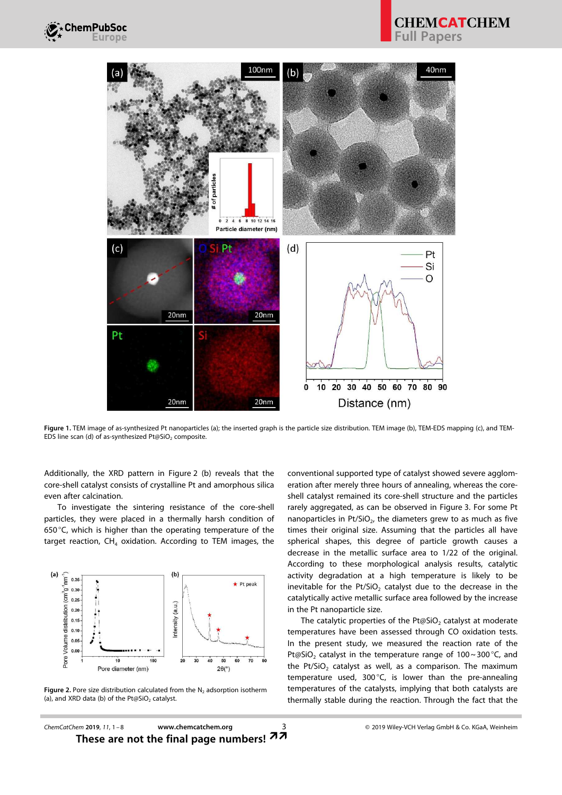



**Figure 1.** TEM image of as-synthesized Pt nanoparticles (a); the inserted graph is the particle size distribution. TEM image (b), TEM-EDS mapping (c), and TEM-EDS line scan (d) of as-synthesized  $Pt@SiO<sub>2</sub>$  composite.

Additionally, the XRD pattern in Figure 2 (b) reveals that the core-shell catalyst consists of crystalline Pt and amorphous silica even after calcination.

To investigate the sintering resistance of the core-shell particles, they were placed in a thermally harsh condition of 650°C, which is higher than the operating temperature of the target reaction,  $CH_4$  oxidation. According to TEM images, the



**Figure 2.** Pore size distribution calculated from the N<sub>2</sub> adsorption isotherm (a), and XRD data (b) of the  $Pt@SiO<sub>2</sub>$  catalyst.

conventional supported type of catalyst showed severe agglomeration after merely three hours of annealing, whereas the coreshell catalyst remained its core-shell structure and the particles rarely aggregated, as can be observed in Figure 3. For some Pt nanoparticles in Pt/SiO<sub>2</sub>, the diameters grew to as much as five times their original size. Assuming that the particles all have spherical shapes, this degree of particle growth causes a decrease in the metallic surface area to 1/22 of the original. According to these morphological analysis results, catalytic activity degradation at a high temperature is likely to be inevitable for the Pt/SiO<sub>2</sub> catalyst due to the decrease in the catalytically active metallic surface area followed by the increase in the Pt nanoparticle size.

The catalytic properties of the Pt@SiO<sub>2</sub> catalyst at moderate temperatures have been assessed through CO oxidation tests. In the present study, we measured the reaction rate of the Pt@SiO<sub>2</sub> catalyst in the temperature range of  $100 \sim 300$  °C, and the Pt/SiO<sub>2</sub> catalyst as well, as a comparison. The maximum temperature used, 300°C, is lower than the pre-annealing temperatures of the catalysts, implying that both catalysts are thermally stable during the reaction. Through the fact that the

*ChemCatChem* **2019**, *11*, 1–8 **[www.chemcatchem.org](https://doi.org/10.1002/cctc.201900934)** 3 © 2019 Wiley-VCH Verlag GmbH & Co. KGaA, Weinheim These are not the final page numbers!  $\pi$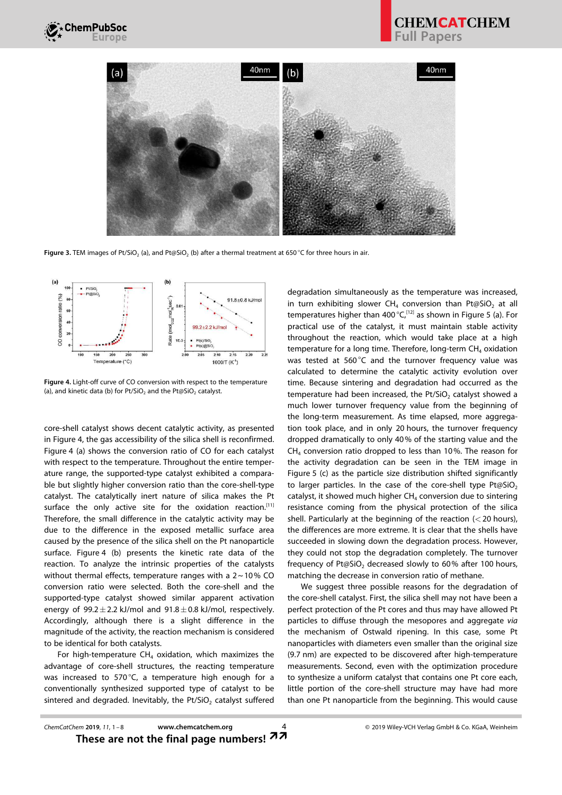

## **CHEMCATCHEM Full Papers**



**Figure 3.** TEM images of Pt/SiO<sub>2</sub> (a), and Pt@SiO<sub>2</sub> (b) after a thermal treatment at 650 °C for three hours in air.



**Figure 4.** Light-off curve of CO conversion with respect to the temperature (a), and kinetic data (b) for Pt/SiO<sub>2</sub> and the Pt@SiO<sub>2</sub> catalyst.

core-shell catalyst shows decent catalytic activity, as presented in Figure 4, the gas accessibility of the silica shell is reconfirmed. Figure 4 (a) shows the conversion ratio of CO for each catalyst with respect to the temperature. Throughout the entire temperature range, the supported-type catalyst exhibited a comparable but slightly higher conversion ratio than the core-shell-type catalyst. The catalytically inert nature of silica makes the Pt surface the only active site for the oxidation reaction.[11] Therefore, the small difference in the catalytic activity may be due to the difference in the exposed metallic surface area caused by the presence of the silica shell on the Pt nanoparticle surface. Figure 4 (b) presents the kinetic rate data of the reaction. To analyze the intrinsic properties of the catalysts without thermal effects, temperature ranges with a 2~10% CO conversion ratio were selected. Both the core-shell and the supported-type catalyst showed similar apparent activation energy of  $99.2 \pm 2.2$  kJ/mol and  $91.8 \pm 0.8$  kJ/mol, respectively. Accordingly, although there is a slight difference in the magnitude of the activity, the reaction mechanism is considered to be identical for both catalysts.

For high-temperature  $CH_4$  oxidation, which maximizes the advantage of core-shell structures, the reacting temperature was increased to 570°C, a temperature high enough for a conventionally synthesized supported type of catalyst to be sintered and degraded. Inevitably, the  $Pt/SiO<sub>2</sub>$  catalyst suffered degradation simultaneously as the temperature was increased, in turn exhibiting slower CH<sub>4</sub> conversion than Pt@SiO<sub>2</sub> at all temperatures higher than 400 $^{\circ}$ C,<sup>[12]</sup> as shown in Figure 5 (a). For practical use of the catalyst, it must maintain stable activity throughout the reaction, which would take place at a high temperature for a long time. Therefore, long-term  $CH<sub>4</sub>$  oxidation was tested at 560°C and the turnover frequency value was calculated to determine the catalytic activity evolution over time. Because sintering and degradation had occurred as the temperature had been increased, the  $Pt/SiO<sub>2</sub>$  catalyst showed a much lower turnover frequency value from the beginning of the long-term measurement. As time elapsed, more aggregation took place, and in only 20 hours, the turnover frequency dropped dramatically to only 40% of the starting value and the  $CH<sub>4</sub>$  conversion ratio dropped to less than 10%. The reason for the activity degradation can be seen in the TEM image in Figure 5 (c) as the particle size distribution shifted significantly to larger particles. In the case of the core-shell type  $Pt@SiO<sub>2</sub>$ catalyst, it showed much higher  $CH<sub>4</sub>$  conversion due to sintering resistance coming from the physical protection of the silica shell. Particularly at the beginning of the reaction (*<*20 hours), the differences are more extreme. It is clear that the shells have succeeded in slowing down the degradation process. However, they could not stop the degradation completely. The turnover frequency of Pt@SiO<sub>2</sub> decreased slowly to 60% after 100 hours, matching the decrease in conversion ratio of methane.

We suggest three possible reasons for the degradation of the core-shell catalyst. First, the silica shell may not have been a perfect protection of the Pt cores and thus may have allowed Pt particles to diffuse through the mesopores and aggregate *via* the mechanism of Ostwald ripening. In this case, some Pt nanoparticles with diameters even smaller than the original size (9.7 nm) are expected to be discovered after high-temperature measurements. Second, even with the optimization procedure to synthesize a uniform catalyst that contains one Pt core each, little portion of the core-shell structure may have had more than one Pt nanoparticle from the beginning. This would cause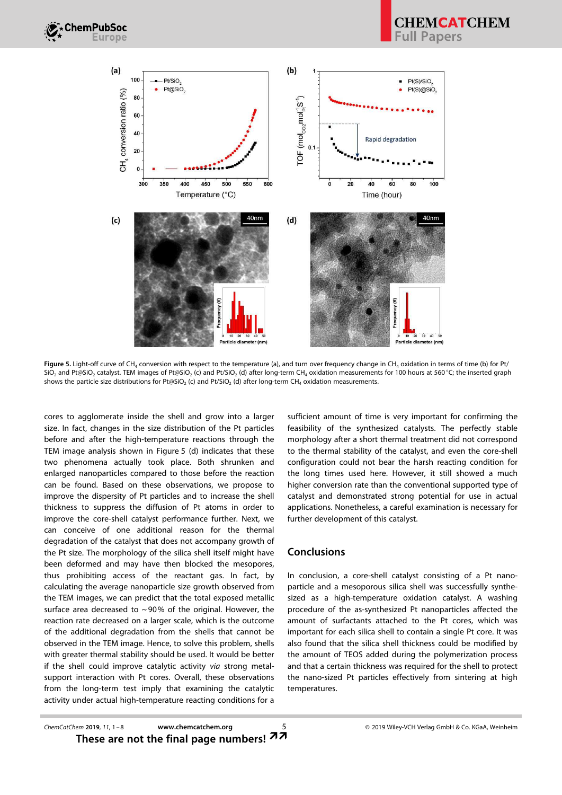



Figure 5. Light-off curve of CH<sub>4</sub> conversion with respect to the temperature (a), and turn over frequency change in CH<sub>4</sub> oxidation in terms of time (b) for Pt/ SiO<sub>2</sub> and Pt@SiO<sub>2</sub> catalyst. TEM images of Pt@SiO<sub>2</sub> (c) and Pt/SiO<sub>2</sub> (d) after long-term CH<sub>4</sub> oxidation measurements for 100 hours at 560 °C; the inserted graph shows the particle size distributions for Pt@SiO<sub>2</sub> (c) and Pt/SiO<sub>2</sub> (d) after long-term CH<sub>4</sub> oxidation measurements.

cores to agglomerate inside the shell and grow into a larger size. In fact, changes in the size distribution of the Pt particles before and after the high-temperature reactions through the TEM image analysis shown in Figure 5 (d) indicates that these two phenomena actually took place. Both shrunken and enlarged nanoparticles compared to those before the reaction can be found. Based on these observations, we propose to improve the dispersity of Pt particles and to increase the shell thickness to suppress the diffusion of Pt atoms in order to improve the core-shell catalyst performance further. Next, we can conceive of one additional reason for the thermal degradation of the catalyst that does not accompany growth of the Pt size. The morphology of the silica shell itself might have been deformed and may have then blocked the mesopores, thus prohibiting access of the reactant gas. In fact, by calculating the average nanoparticle size growth observed from the TEM images, we can predict that the total exposed metallic surface area decreased to  $\sim$ 90% of the original. However, the reaction rate decreased on a larger scale, which is the outcome of the additional degradation from the shells that cannot be observed in the TEM image. Hence, to solve this problem, shells with greater thermal stability should be used. It would be better if the shell could improve catalytic activity *via* strong metalsupport interaction with Pt cores. Overall, these observations from the long-term test imply that examining the catalytic activity under actual high-temperature reacting conditions for a

sufficient amount of time is very important for confirming the feasibility of the synthesized catalysts. The perfectly stable morphology after a short thermal treatment did not correspond to the thermal stability of the catalyst, and even the core-shell configuration could not bear the harsh reacting condition for the long times used here. However, it still showed a much higher conversion rate than the conventional supported type of catalyst and demonstrated strong potential for use in actual applications. Nonetheless, a careful examination is necessary for further development of this catalyst.

### **Conclusions**

In conclusion, a core-shell catalyst consisting of a Pt nanoparticle and a mesoporous silica shell was successfully synthesized as a high-temperature oxidation catalyst. A washing procedure of the as-synthesized Pt nanoparticles affected the amount of surfactants attached to the Pt cores, which was important for each silica shell to contain a single Pt core. It was also found that the silica shell thickness could be modified by the amount of TEOS added during the polymerization process and that a certain thickness was required for the shell to protect the nano-sized Pt particles effectively from sintering at high temperatures.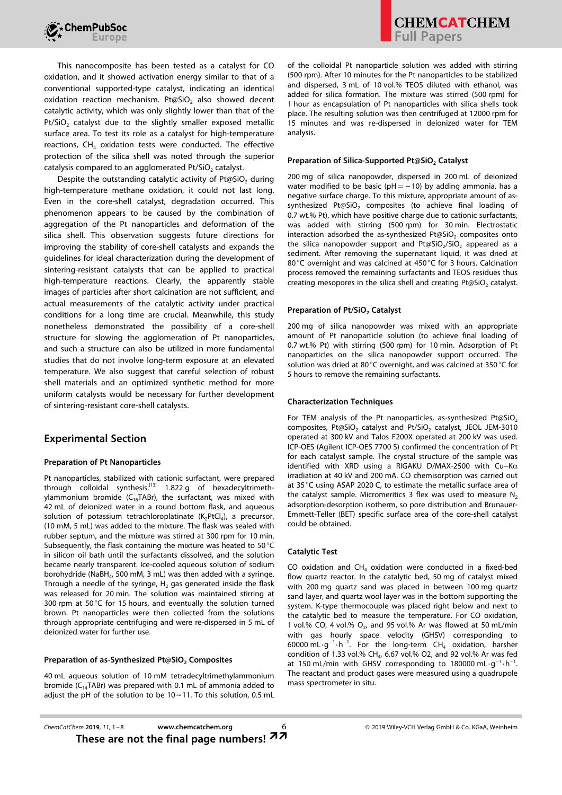

This nanocomposite has been tested as a catalyst for CO oxidation, and it showed activation energy similar to that of a conventional supported-type catalyst, indicating an identical oxidation reaction mechanism. Pt@SiO<sub>2</sub> also showed decent catalytic activity, which was only slightly lower than that of the Pt/SiO<sub>2</sub> catalyst due to the slightly smaller exposed metallic surface area. To test its role as a catalyst for high-temperature reactions,  $CH<sub>4</sub>$  oxidation tests were conducted. The effective protection of the silica shell was noted through the superior catalysis compared to an agglomerated  $Pt/SiO<sub>2</sub>$  catalyst.

Despite the outstanding catalytic activity of Pt@SiO<sub>2</sub> during high-temperature methane oxidation, it could not last long. Even in the core-shell catalyst, degradation occurred. This phenomenon appears to be caused by the combination of aggregation of the Pt nanoparticles and deformation of the silica shell. This observation suggests future directions for improving the stability of core-shell catalysts and expands the guidelines for ideal characterization during the development of sintering-resistant catalysts that can be applied to practical high-temperature reactions. Clearly, the apparently stable images of particles after short calcination are not sufficient, and actual measurements of the catalytic activity under practical conditions for a long time are crucial. Meanwhile, this study nonetheless demonstrated the possibility of a core-shell structure for slowing the agglomeration of Pt nanoparticles, and such a structure can also be utilized in more fundamental studies that do not involve long-term exposure at an elevated temperature. We also suggest that careful selection of robust shell materials and an optimized synthetic method for more uniform catalysts would be necessary for further development of sintering-resistant core-shell catalysts.

## **Experimental Section**

#### **Preparation of Pt Nanoparticles**

Pt nanoparticles, stabilized with cationic surfactant, were prepared through colloidal synthesis.<sup>[13]</sup> 1.822 g of hexadecyltrimethylammonium bromide ( $C_{16}$ TABr), the surfactant, was mixed with 42 mL of deionized water in a round bottom flask, and aqueous solution of potassium tetrachloroplatinate  $(K_2PtCl_4)$ , a precursor, (10 mM, 5 mL) was added to the mixture. The flask was sealed with rubber septum, and the mixture was stirred at 300 rpm for 10 min. Subsequently, the flask containing the mixture was heated to 50°C in silicon oil bath until the surfactants dissolved, and the solution became nearly transparent. Ice-cooled aqueous solution of sodium borohydride (NaBH<sub>4</sub>, 500 mM, 3 mL) was then added with a syringe. Through a needle of the syringe,  $H_2$  gas generated inside the flask was released for 20 min. The solution was maintained stirring at 300 rpm at 50°C for 15 hours, and eventually the solution turned brown. Pt nanoparticles were then collected from the solutions through appropriate centrifuging and were re-dispersed in 5 mL of deionized water for further use.

#### **Preparation of as-Synthesized Pt@SiO<sub>2</sub> Composites**

40 mL aqueous solution of 10 mM tetradecyltrimethylammonium bromide ( $C_{14}$ TABr) was prepared with 0.1 mL of ammonia added to adjust the pH of the solution to be  $10 \sim 11$ . To this solution, 0.5 mL

*ChemCatChem* **2019**, *11*, 1–8 **[www.chemcatchem.org](https://doi.org/10.1002/cctc.201900934)** 6 © 2019 Wiley-VCH Verlag GmbH & Co. KGaA, Weinheim These are not the final page numbers!  $\overline{27}$ 

of the colloidal Pt nanoparticle solution was added with stirring (500 rpm). After 10 minutes for the Pt nanoparticles to be stabilized and dispersed, 3 mL of 10 vol.% TEOS diluted with ethanol, was added for silica formation. The mixture was stirred (500 rpm) for 1 hour as encapsulation of Pt nanoparticles with silica shells took place. The resulting solution was then centrifuged at 12000 rpm for 15 minutes and was re-dispersed in deionized water for TEM analysis.

#### **Preparation of Silica-Supported Pt@SiO<sub>2</sub> Catalyst**

200 mg of silica nanopowder, dispersed in 200 mL of deionized water modified to be basic ( $pH = \sim 10$ ) by adding ammonia, has a negative surface charge. To this mixture, appropriate amount of assynthesized Pt@SiO<sub>2</sub> composites (to achieve final loading of 0.7 wt.% Pt), which have positive charge due to cationic surfactants, was added with stirring (500 rpm) for 30 min. Electrostatic interaction adsorbed the as-synthesized  $Pt@SiO<sub>2</sub>$  composites onto the silica nanopowder support and  $Pt@SiO<sub>2</sub>/SiO<sub>2</sub>$  appeared as a sediment. After removing the supernatant liquid, it was dried at 80°C overnight and was calcined at 450°C for 3 hours. Calcination process removed the remaining surfactants and TEOS residues thus creating mesopores in the silica shell and creating  $Pt@SiO<sub>2</sub>$  catalyst.

#### **Preparation of Pt/SiO<sub>2</sub> Catalyst**

200 mg of silica nanopowder was mixed with an appropriate amount of Pt nanoparticle solution (to achieve final loading of 0.7 wt.% Pt) with stirring (500 rpm) for 10 min. Adsorption of Pt nanoparticles on the silica nanopowder support occurred. The solution was dried at 80°C overnight, and was calcined at 350 °C for 5 hours to remove the remaining surfactants.

#### **Characterization Techniques**

For TEM analysis of the Pt nanoparticles, as-synthesized Pt@SiO<sub>2</sub> composites, Pt@SiO<sub>2</sub> catalyst and Pt/SiO<sub>2</sub> catalyst, JEOL JEM-3010 operated at 300 kV and Talos F200X operated at 200 kV was used. ICP-OES (Agilent ICP-OES 7700 S) confirmed the concentration of Pt for each catalyst sample. The crystal structure of the sample was identified with XRD using a RIGAKU D/MAX-2500 with Cu-K $\alpha$ irradiation at 40 kV and 200 mA. CO chemisorption was carried out at 35°C using ASAP 2020 C, to estimate the metallic surface area of the catalyst sample. Micromeritics 3 flex was used to measure  $N_2$ adsorption-desorption isotherm, so pore distribution and Brunauer-Emmett-Teller (BET) specific surface area of the core-shell catalyst could be obtained.

#### **Catalytic Test**

CO oxidation and  $CH_4$  oxidation were conducted in a fixed-bed flow quartz reactor. In the catalytic bed, 50 mg of catalyst mixed with 200 mg quartz sand was placed in between 100 mg quartz sand layer, and quartz wool layer was in the bottom supporting the system. K-type thermocouple was placed right below and next to the catalytic bed to measure the temperature. For CO oxidation, 1 vol.% CO, 4 vol.%  $O<sub>2</sub>$ , and 95 vol.% Ar was flowed at 50 mL/min with gas hourly space velocity (GHSV) corresponding to 60000 mL $\cdot$ g<sup>-1</sup> $\cdot$ h<sup>-1</sup>. For the long-term CH<sub>4</sub> oxidation, harsher condition of 1.33 vol.% CH<sub>4</sub>, 6.67 vol.% O2, and 92 vol.% Ar was fed at 150 mL/min with GHSV corresponding to 180000 mL $\cdot$ g<sup>-1</sup> $\cdot$ h<sup>-1</sup>. The reactant and product gases were measured using a quadrupole mass spectrometer in situ.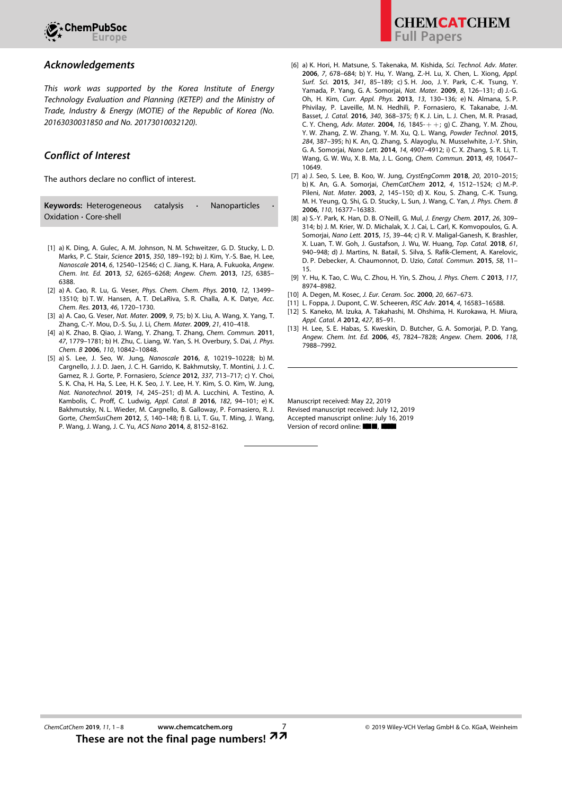

## *Acknowledgements*

*This work was supported by the Korea Institute of Energy Technology Evaluation and Planning (KETEP) and the Ministry of Trade, Industry & Energy (MOTIE) of the Republic of Korea (No. 20163030031850 and No. 20173010032120).*

## *Conflict of Interest*

The authors declare no conflict of interest.

| Keywords: Heterogeneous | catalysis | <b>Nanoparticles</b> |  |
|-------------------------|-----------|----------------------|--|
| Oxidation · Core-shell  |           |                      |  |

- [1] a) K. Ding, A. Gulec, A. M. Johnson, N. M. Schweitzer, G. D. Stucky, L. D. Marks, P. C. Stair, *Science* **2015**, *350*, [189–192](https://doi.org/10.1126/science.aac6368); b) J. Kim, Y.-S. Bae, H. Lee, *Nanoscale* **2014**, *6*, [12540–12546](https://doi.org/10.1039/C4NR03951C); c) C. Jiang, K. Hara, A. Fukuoka, *[Angew.](https://doi.org/10.1002/anie.201300496) Chem. Int. Ed.* **2013**, *52*, [6265–6268;](https://doi.org/10.1002/anie.201300496) *[Angew.](https://doi.org/10.1002/ange.201300496) Chem.* **2013**, *125*, 6385– [6388.](https://doi.org/10.1002/ange.201300496)
- [2] a) A. Cao, R. Lu, G. Veser, *Phys. Chem. Chem. Phys.* **2010**, *12*, [13499–](https://doi.org/10.1039/c0cp00729c) [13510;](https://doi.org/10.1039/c0cp00729c) b) T. W. Hansen, A. T. DeLaRiva, S. R. Challa, A. K. Datye, *[Acc.](https://doi.org/10.1021/ar3002427) Chem. Res.* **2013**, *46*, [1720–1730](https://doi.org/10.1021/ar3002427).
- [3] a) A. Cao, G. Veser, *Nat. Mater.* **2009**, *9*, 75; b) X. Liu, A. Wang, X. Yang, T. Zhang, C.-Y. Mou, D.-S. Su, J. Li, *Chem. Mater.* **2009**, *21*, [410–418.](https://doi.org/10.1021/cm8027725)
- [4] a) K. Zhao, B. Qiao, J. Wang, Y. Zhang, T. Zhang, *Chem. [Commun.](https://doi.org/10.1039/C0CC04171H)* **2011**, *47*, [1779–1781;](https://doi.org/10.1039/C0CC04171H) b) H. Zhu, C. Liang, W. Yan, S. H. Overbury, S. Dai, *J. [Phys.](https://doi.org/10.1021/jp060637q) Chem. B* **2006**, *110*, [10842–10848](https://doi.org/10.1021/jp060637q).
- [5] a) S. Lee, J. Seo, W. Jung, *Nanoscale* **2016**, *8*, [10219–10228](https://doi.org/10.1039/C6NR00170J); b) M. Cargnello, J. J. D. Jaen, J. C. H. Garrido, K. Bakhmutsky, T. Montini, J. J. C. Gamez, R. J. Gorte, P. Fornasiero, *Science* **2012**, *337*, [713–717](https://doi.org/10.1126/science.1222887); c) Y. Choi, S. K. Cha, H. Ha, S. Lee, H. K. Seo, J. Y. Lee, H. Y. Kim, S. O. Kim, W. Jung, *Nat. [Nanotechnol.](https://doi.org/10.1038/s41565-019-0367-4)* **2019**, *14*, 245–251; d) M. A. Lucchini, A. Testino, A. Kambolis, C. Proff, C. Ludwig, *Appl. Catal. B* **2016**, *182*, [94–101](https://doi.org/10.1016/j.apcatb.2015.09.012); e) K. Bakhmutsky, N. L. Wieder, M. Cargnello, B. Galloway, P. Fornasiero, R. J. Gorte, *[ChemSusChem](https://doi.org/10.1002/cssc.201100491)* **2012**, *5*, 140–148; f) B. Li, T. Gu, T. Ming, J. Wang, P. Wang, J. Wang, J. C. Yu, *ACS Nano* **2014**, *8*, [8152–8162.](https://doi.org/10.1021/nn502303h)
- [6] a) K. Hori, H. Matsune, S. Takenaka, M. Kishida, *Sci. [Technol.](https://doi.org/10.1016/j.stam.2006.09.013) Adv. Mater.* **2006**, *7*, [678–684](https://doi.org/10.1016/j.stam.2006.09.013); b) Y. Hu, Y. Wang, Z.-H. Lu, X. Chen, L. Xiong, *Appl. Surf. Sci.* **2015**, *341*, 85–189; c) S. H. Joo, J. Y. Park, C.-K. Tsung, Y. Yamada, P. Yang, G. A. Somorjai, *Nat. Mater.* **2009**, *8*, [126–131;](https://doi.org/10.1038/nmat2329) d) J.-G. Oh, H. Kim, *Curr. Appl. Phys.* **2013**, *13*, [130–136](https://doi.org/10.1016/j.cap.2012.06.025); e) N. Almana, S. P. Phivilay, P. Laveille, M. N. Hedhili, P. Fornasiero, K. Takanabe, J.-M. Basset, *J. Catal.* **2016**, *340*, [368–375;](https://doi.org/10.1016/j.jcat.2016.06.002) f) K. J. Lin, L. J. Chen, M. R. Prasad, C. Y. Cheng, *Adv. [Mater.](https://doi.org/10.1002/adma.200400349)* **2004**, *16*, 1845-+ +; g) C. Zhang, Y. M. Zhou, Y. W. Zhang, Z. W. Zhang, Y. M. Xu, Q. L. Wang, *Powder [Technol.](https://doi.org/10.1016/j.powtec.2015.07.009)* **2015**, *284*, [387–395](https://doi.org/10.1016/j.powtec.2015.07.009); h) K. An, Q. Zhang, S. Alayoglu, N. Musselwhite, J.-Y. Shin, G. A. Somorjai, *Nano Lett.* **2014**, *14*, [4907–4912](https://doi.org/10.1021/nl502434m); i) C. X. Zhang, S. R. Li, T. Wang, G. W. Wu, X. B. Ma, J. L. Gong, *Chem. [Commun.](https://doi.org/10.1039/c3cc45957h)* **2013**, *49*, 10647– [10649.](https://doi.org/10.1039/c3cc45957h)
- [7] a) J. Seo, S. Lee, B. Koo, W. Jung, *[CrystEngComm](https://doi.org/10.1039/C7CE02235B)* **2018**, *20*, 2010–2015; b) K. An, G. A. Somorjai, *[ChemCatChem](https://doi.org/10.1002/cctc.201200229)* **2012**, *4*, 1512–1524; c) M.-P. Pileni, *Nat. Mater.* **2003**, *2*, [145–150](https://doi.org/10.1038/nmat817); d) X. Kou, S. Zhang, C.-K. Tsung, M. H. Yeung, Q. Shi, G. D. Stucky, L. Sun, J. Wang, C. Yan, *J. Phys. [Chem.](https://doi.org/10.1021/jp0639086) B* **2006**, *110*, [16377–16383.](https://doi.org/10.1021/jp0639086)
- [8] a) S.-Y. Park, K. Han, D. B. O'Neill, G. Mul, *J. [Energy](https://doi.org/10.1016/j.jechem.2016.12.010) Chem.* **2017**, *26*, 309– [314;](https://doi.org/10.1016/j.jechem.2016.12.010) b) J. M. Krier, W. D. Michalak, X. J. Cai, L. Carl, K. Komvopoulos, G. A. Somorjai, *Nano Lett.* **2015**, *15*, [39–44](https://doi.org/10.1021/nl502566b); c) R. V. Maligal-Ganesh, K. Brashler, X. Luan, T. W. Goh, J. Gustafson, J. Wu, W. Huang, *Top. [Catal.](https://doi.org/10.1007/s11244-018-0933-2)* **2018**, *61*, [940–948](https://doi.org/10.1007/s11244-018-0933-2); d) J. Martins, N. Batail, S. Silva, S. Rafik-Clement, A. Karelovic, D. P. Debecker, A. Chaumonnot, D. Uzio, *Catal. [Commun.](https://doi.org/10.1016/j.catcom.2014.08.027)* **2015**, *58*, 11– [15](https://doi.org/10.1016/j.catcom.2014.08.027).
- [9] Y. Hu, K. Tao, C. Wu, C. Zhou, H. Yin, S. Zhou, *J. Phys. [Chem.](https://doi.org/10.1021/jp3110375) C* **2013**, *117*, [8974–8982.](https://doi.org/10.1021/jp3110375)
- [10] A. Degen, M. Kosec, *J. Eur. Ceram. Soc.* **2000**, *20*, [667–673](https://doi.org/10.1016/S0955-2219(99)00203-4).
- [11] L. Foppa, J. Dupont, C. W. Scheeren, *RSC Adv.* **2014**, *4*, [16583–16588](https://doi.org/10.1039/C4RA01066C).
- [12] S. Kaneko, M. Izuka, A. Takahashi, M. Ohshima, H. Kurokawa, H. Miura, *Appl. Catal. A* **2012**, *427*, [85–91](https://doi.org/10.1016/j.apcata.2012.03.033).
- [13] H. Lee, S. E. Habas, S. Kweskin, D. Butcher, G. A. Somorjai, P. D. Yang, *Angew. Chem. Int. Ed.* **2006**, *45*, [7824–7828;](https://doi.org/10.1002/anie.200603068) *[Angew.](https://doi.org/10.1002/ange.200603068) Chem.* **2006**, *118*, [7988–7992.](https://doi.org/10.1002/ange.200603068)

Manuscript received: May 22, 2019 Revised manuscript received: July 12, 2019 Accepted manuscript online: July 16, 2019 Version of record online: ■■,